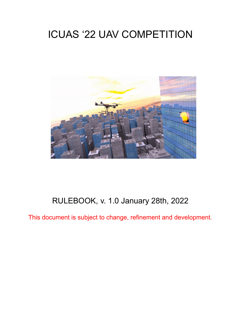# ICUAS '22 UAV COMPETITION



# RULEBOOK, v. 1.0 January 28th, 2022

This document is subject to change, refinement and development.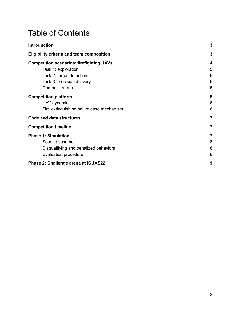# Table of Contents

| <b>Introduction</b>                              | $\mathbf{3}$   |
|--------------------------------------------------|----------------|
| <b>Eligibility criteria and team composition</b> | 3              |
| <b>Competition scenarios: firefighting UAVs</b>  | 4              |
| Task 1: exploration                              | 5              |
| Task 2: target detection                         | 5              |
| Task 3: precision delivery                       | 5              |
| Competition run                                  | 5              |
| <b>Competition platform</b>                      | 6              |
| UAV dynamics                                     | 6              |
| Fire extinguishing ball release mechanism        | 6              |
| <b>Code and data structures</b>                  | 7              |
| <b>Competition timeline</b>                      | $\overline{7}$ |
| <b>Phase 1: Simulation</b>                       | 7              |
| Scoring scheme                                   | 8              |
| Disqualifying and penalized behaviors            | 8              |
| Evaluation procedure                             | 8              |
| Phase 2: Challenge arena at ICUAS22              | 9              |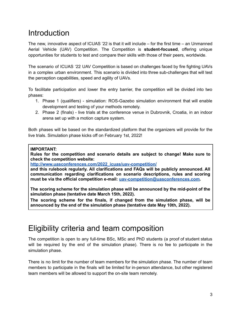# <span id="page-2-0"></span>**Introduction**

The new, innovative aspect of ICUAS '22 is that it will include – for the first time – an Unmanned Aerial Vehicle (UAV) Competition. The Competition is **student-focused**, offering unique opportunities for students to test and compare their skills with those of their peers, worldwide.

The scenario of ICUAS '22 UAV Competition is based on challenges faced by fire fighting UAVs in a complex urban environment. This scenario is divided into three sub-challenges that will test the perception capabilities, speed and agility of UAVs.

To facilitate participation and lower the entry barrier, the competition will be divided into two phases:

- 1. Phase 1 (qualifiers) simulation: ROS-Gazebo simulation environment that will enable development and testing of your methods remotely.
- 2. Phase 2 (finals) live trials at the conference venue in Dubrovnik, Croatia, in an indoor arena set up with a motion capture system.

Both phases will be based on the standardized platform that the organizers will provide for the live trials. Simulation phase kicks off on February 1st, 2022!

#### **IMPORTANT:**

**Rules for the competition and scenario details are subject to change! Make sure to check the competition website:**

**[http://www.uasconferences.com/2022\\_icuas/uav-competition/](http://www.uasconferences.com/2022_icuas/uav-competition/)**

**and this rulebook regularly. All clarifications and FAQs will be publicly announced. All communication regarding clarifications on scenario descriptions, rules and scoring must be via the official competition e-mail: [uav-competition@uasconferences.com.](mailto:uav-competition@uasconferences.com)**

**The scoring scheme for the simulation phase will be announced by the mid-point of the simulation phase (tentative date March 15th, 2022).**

**The scoring scheme for the finals, if changed from the simulation phase, will be announced by the end of the simulation phase (tentative date May 10th, 2022).**

## <span id="page-2-1"></span>Eligibility criteria and team composition

The competition is open to any full-time BSc, MSc and PhD students (a proof of student status will be required by the end of the simulation phase). There is no fee to participate in the simulation phase.

There is no limit for the number of team members for the simulation phase. The number of team members to participate in the finals will be limited for in-person attendance, but other registered team members will be allowed to support the on-site team remotely.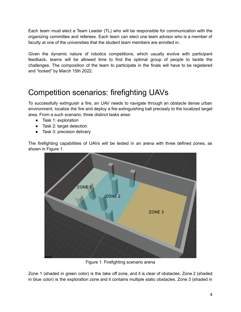Each team must elect a Team Leader (TL) who will be responsible for communication with the organizing committee and referees. Each team can elect one team advisor who is a member of faculty at one of the universities that the student team members are enrolled in.

Given the dynamic nature of robotics competitions, which usually evolve with participant feedback, teams will be allowed time to find the optimal group of people to tackle the challenges. The composition of the team to participate in the finals will have to be registered and "locked" by March 15th 2022.

## <span id="page-3-0"></span>Competition scenarios: firefighting UAVs

To successfully extinguish a fire, an UAV needs to navigate through an obstacle dense urban environment, localize the fire and deploy a fire extinguishing ball precisely to the localized target area. From a such scenario, three distinct tasks arise:

- Task 1: exploration
- Task 2: target detection
- Task 3: precision delivery

The firefighting capabilities of UAVs will be tested in an arena with three defined zones, as shown in Figure 1.



Figure 1. Firefighting scenario arena

Zone 1 (shaded in green color) is the take off zone, and it is clear of obstacles. Zone 2 (shaded in blue color) is the exploration zone and it contains multiple static obstacles. Zone 3 (shaded in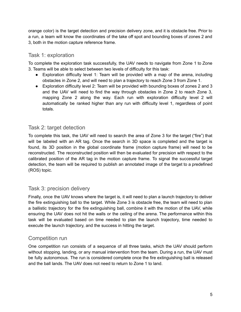orange color) is the target detection and precision delivery zone, and it is obstacle free. Prior to a run, a team will know the coordinates of the take off spot and bounding boxes of zones 2 and 3, both in the motion capture reference frame.

### <span id="page-4-0"></span>Task 1: exploration

To complete the exploration task successfully, the UAV needs to navigate from Zone 1 to Zone 3. Teams will be able to select between two levels of difficulty for this task:

- Exploration difficulty level 1: Team will be provided with a map of the arena, including obstacles in Zone 2, and will need to plan a trajectory to reach Zone 3 from Zone 1.
- Exploration difficulty level 2: Team will be provided with bounding boxes of zones 2 and 3 and the UAV will need to find the way through obstacles in Zone 2 to reach Zone 3, mapping Zone 2 along the way. Each run with exploration difficulty level 2 will automatically be ranked higher than any run with difficulty level 1, regardless of point totals.

### <span id="page-4-1"></span>Task 2: target detection

To complete this task, the UAV will need to search the area of Zone 3 for the target ("fire") that will be labeled with an AR tag. Once the search in 3D space is completed and the target is found, its 3D position in the global coordinate frame (motion capture frame) will need to be reconstructed. The reconstructed position will then be evaluated for precision with respect to the calibrated position of the AR tag in the motion capture frame. To signal the successful target detection, the team will be required to publish an annotated image of the target to a predefined (ROS) topic.

#### <span id="page-4-2"></span>Task 3: precision delivery

Finally, once the UAV knows where the target is, it will need to plan a launch trajectory to deliver the fire extinguishing ball to the target. While Zone 3 is obstacle free, the team will need to plan a ballistic trajectory for the fire extinguishing ball, combine it with the motion of the UAV, while ensuring the UAV does not hit the walls or the ceiling of the arena. The performance within this task will be evaluated based on time needed to plan the launch trajectory, time needed to execute the launch trajectory, and the success in hitting the target.

### <span id="page-4-3"></span>Competition run

One competition run consists of a sequence of all three tasks, which the UAV should perform without stopping, landing, or any manual intervention from the team. During a run, the UAV must be fully autonomous. The run is considered complete once the fire extinguishing ball is released and the ball lands. The UAV does not need to return to Zone 1 to land.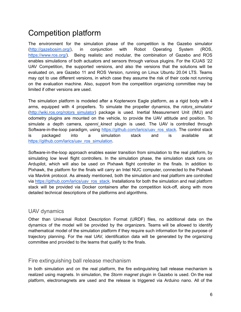# <span id="page-5-0"></span>Competition platform

The environment for the simulation phase of the competition is the Gazebo simulator (<http://gazebosim.org/>), in conjunction with Robot Operating System (ROS, [https://www.ros.org/\)](https://www.ros.org/). Being realistic and modular, the combination of Gazebo and ROS enables simulations of both actuators and sensors through various plugins. For the ICUAS '22 UAV Competition, the supported versions, and also the versions that the solutions will be evaluated on, are Gazebo 11 and ROS Version, running on Linux Ubuntu 20.04 LTS. Teams may opt to use different versions, in which case they assume the risk of their code not running on the evaluation machine. Also, support from the competition organizing committee may be limited if other versions are used.

The simulation platform is modeled after a Kopterworx Eagle platform, as a rigid body with 4 arms, equipped with 4 propellers. To simulate the propeller dynamics, the *rotors\_simulator* ([http://wiki.ros.org/rotors\\_simulator\)](http://wiki.ros.org/rotors_simulator) package is used. Inertial Measurement Unit (IMU) and odometry plugins are mounted on the vehicle, to provide the UAV attitude and position. To simulate a depth camera, *openni kinect* plugin is used. The UAV is controlled through Software-in-the-loop paradigm, using [https://github.com/larics/uav\\_ros\\_stack.](https://github.com/larics/uav_ros_stack) The control stack is packaged into a simulation stack and is available at [https://github.com/larics/uav\\_ros\\_simulation](https://github.com/larics/uav_ros_simulation).

Software-in-the-loop approach enables easier transition from simulation to the real platform, by simulating low level flight controllers. In the simulation phase, the simulation stack runs on Ardupilot, which will also be used on Pixhawk flight controller in the finals. In addition to Pixhawk, the platform for the finals will carry an Intel NUC computer, connected to the Pixhawk via Mavlink protocol. As already mentioned, both the simulation and real platform are controlled via [https://github.com/larics/uav\\_ros\\_stack.](https://github.com/larics/uav_ros_stack) Installations for both the simulation and real platform stack will be provided via Docker containers after the competition kick-off, along with more detailed technical descriptions of the platforms and algorithms.

#### <span id="page-5-1"></span>UAV dynamics

Other than Universal Robot Description Format (URDF) files, no additional data on the dynamics of the model will be provided by the organizers. Teams will be allowed to identify mathematical model of the simulation platform if they require such information for the purpose of trajectory planning. For the real UAV, identification data will be generated by the organizing committee and provided to the teams that qualify to the finals.

### <span id="page-5-2"></span>Fire extinguishing ball release mechanism

In both simulation and on the real platform, the fire extinguishing ball release mechanism is realized using magnets. In simulation, the *Storm magnet* plugin in Gazebo is used. On the real platform, electromagnets are used and the release is triggered via Arduino nano. All of the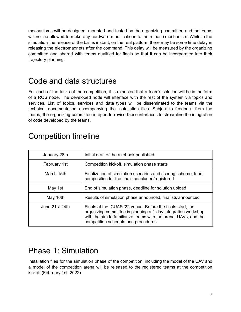mechanisms will be designed, mounted and tested by the organizing committee and the teams will not be allowed to make any hardware modifications to the release mechanism. While in the simulation the release of the ball is instant, on the real platform there may be some time delay in releasing the electromagnets after the command. This delay will be measured by the organizing committee and shared with teams qualified for finals so that it can be incorporated into their trajectory planning.

## <span id="page-6-0"></span>Code and data structures

For each of the tasks of the competition, it is expected that a team's solution will be in the form of a ROS node. The developed node will interface with the rest of the system via topics and services. List of topics, services and data types will be disseminated to the teams via the technical documentation accompanying the installation files. Subject to feedback from the teams, the organizing committee is open to revise these interfaces to streamline the integration of code developed by the teams.

| January 28th   | Initial draft of the rulebook published                                                                                                                                                                                                |
|----------------|----------------------------------------------------------------------------------------------------------------------------------------------------------------------------------------------------------------------------------------|
| February 1st   | Competition kickoff, simulation phase starts                                                                                                                                                                                           |
| March 15th     | Finalization of simulation scenarios and scoring scheme, team<br>composition for the finals concluded/registered                                                                                                                       |
| May 1st        | End of simulation phase, deadline for solution upload                                                                                                                                                                                  |
| May 10th       | Results of simulation phase announced, finalists announced                                                                                                                                                                             |
| June 21st-24th | Finals at the ICUAS '22 venue. Before the finals start, the<br>organizing committee is planning a 1-day integration workshop<br>with the aim to familiarize teams with the arena, UAVs, and the<br>competition schedule and procedures |

## <span id="page-6-1"></span>Competition timeline

### <span id="page-6-2"></span>Phase 1: Simulation

Installation files for the simulation phase of the competition, including the model of the UAV and a model of the competition arena will be released to the registered teams at the competition kickoff (February 1st, 2022).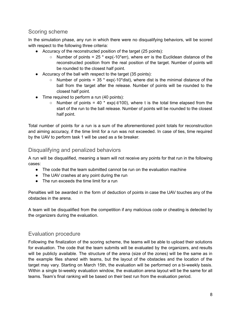### <span id="page-7-0"></span>Scoring scheme

In the simulation phase, any run in which there were no disqualifying behaviors, will be scored with respect to the following three criteria:

- Accuracy of the reconstructed position of the target (25 points):
	- $\circ$  Number of points = 25  $*$  exp(-10 $*$ err), where err is the Euclidean distance of the reconstructed position from the real position of the target. Number of points will be rounded to the closest half point.
- Accuracy of the ball with respect to the target (35 points):
	- $\circ$  Number of points = 35  $*$  exp(-10 $*$ dist), where dist is the minimal distance of the ball from the target after the release. Number of points will be rounded to the closest half point.
- Time required to perform a run (40 points):
	- $\circ$  Number of points = 40  $*$  exp(-t/100), where t is the total time elapsed from the start of the run to the ball release. Number of points will be rounded to the closest half point.

Total number of points for a run is a sum of the aforementioned point totals for reconstruction and aiming accuracy, if the time limit for a run was not exceeded. In case of ties, time required by the UAV to perform task 1 will be used as a tie breaker.

### <span id="page-7-1"></span>Disqualifying and penalized behaviors

A run will be disqualified, meaning a team will not receive any points for that run in the following cases:

- The code that the team submitted cannot be run on the evaluation machine
- The UAV crashes at any point during the run
- The run exceeds the time limit for a run

Penalties will be awarded in the form of deduction of points in case the UAV touches any of the obstacles in the arena.

A team will be disqualified from the competition if any malicious code or cheating is detected by the organizers during the evaluation.

#### <span id="page-7-2"></span>Evaluation procedure

Following the finalization of the scoring scheme, the teams will be able to upload their solutions for evaluation. The code that the team submits will be evaluated by the organizers, and results will be publicly available. The structure of the arena (size of the zones) will be the same as in the example files shared with teams, but the layout of the obstacles and the location of the target may vary. Starting on March 15th, the evaluation will be performed on a bi-weekly basis. Within a single bi-weekly evaluation window, the evaluation arena layout will be the same for all teams. Team's final ranking will be based on their best run from the evaluation period.